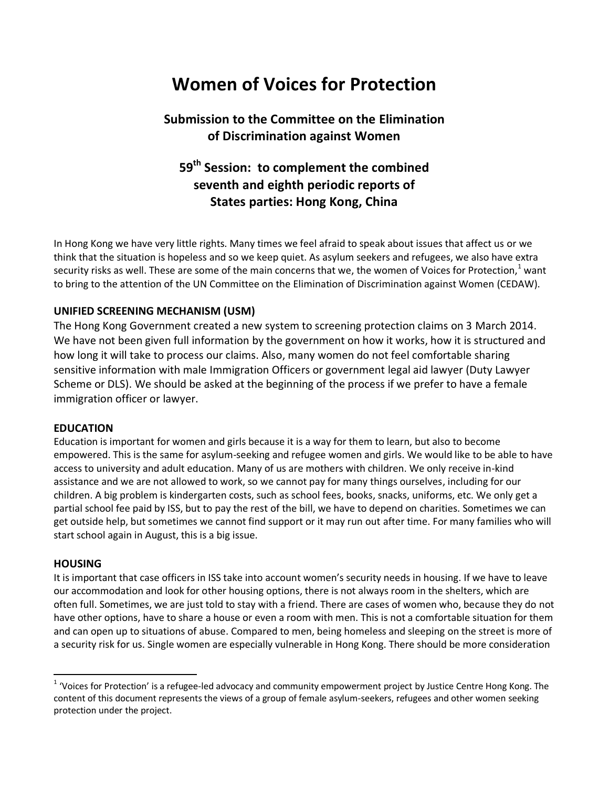# **Women of Voices for Protection**

## **Submission to the Committee on the Elimination of Discrimination against Women**

# **59th Session: to complement the combined seventh and eighth periodic reports of States parties: Hong Kong, China**

In Hong Kong we have very little rights. Many times we feel afraid to speak about issues that affect us or we think that the situation is hopeless and so we keep quiet. As asylum seekers and refugees, we also have extra security risks as well. These are some of the main concerns that we, the women of Voices for Protection, $1$  want to bring to the attention of the UN Committee on the Elimination of Discrimination against Women (CEDAW).

## **UNIFIED SCREENING MECHANISM (USM)**

The Hong Kong Government created a new system to screening protection claims on 3 March 2014. We have not been given full information by the government on how it works, how it is structured and how long it will take to process our claims. Also, many women do not feel comfortable sharing sensitive information with male Immigration Officers or government legal aid lawyer (Duty Lawyer Scheme or DLS). We should be asked at the beginning of the process if we prefer to have a female immigration officer or lawyer.

#### **EDUCATION**

Education is important for women and girls because it is a way for them to learn, but also to become empowered. This is the same for asylum-seeking and refugee women and girls. We would like to be able to have access to university and adult education. Many of us are mothers with children. We only receive in-kind assistance and we are not allowed to work, so we cannot pay for many things ourselves, including for our children. A big problem is kindergarten costs, such as school fees, books, snacks, uniforms, etc. We only get a partial school fee paid by ISS, but to pay the rest of the bill, we have to depend on charities. Sometimes we can get outside help, but sometimes we cannot find support or it may run out after time. For many families who will start school again in August, this is a big issue.

#### **HOUSING**

 $\overline{\phantom{a}}$ 

It is important that case officers in ISS take into account women's security needs in housing. If we have to leave our accommodation and look for other housing options, there is not always room in the shelters, which are often full. Sometimes, we are just told to stay with a friend. There are cases of women who, because they do not have other options, have to share a house or even a room with men. This is not a comfortable situation for them and can open up to situations of abuse. Compared to men, being homeless and sleeping on the street is more of a security risk for us. Single women are especially vulnerable in Hong Kong. There should be more consideration

<sup>&</sup>lt;sup>1</sup> 'Voices for Protection' is a refugee-led advocacy and community empowerment project by Justice Centre Hong Kong. The content of this document represents the views of a group of female asylum-seekers, refugees and other women seeking protection under the project.